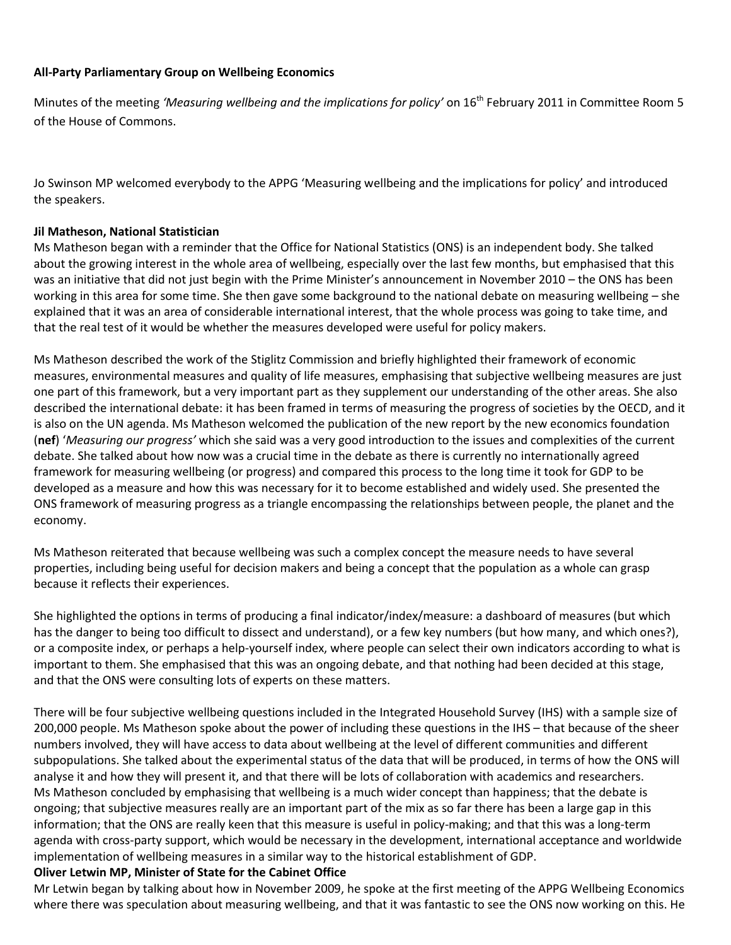## **All-Party Parliamentary Group on Wellbeing Economics**

Minutes of the meeting *'Measuring wellbeing and the implications for policy'* on 16<sup>th</sup> February 2011 in Committee Room 5 of the House of Commons.

Jo Swinson MP welcomed everybody to the APPG 'Measuring wellbeing and the implications for policy' and introduced the speakers.

## **Jil Matheson, National Statistician**

Ms Matheson began with a reminder that the Office for National Statistics (ONS) is an independent body. She talked about the growing interest in the whole area of wellbeing, especially over the last few months, but emphasised that this was an initiative that did not just begin with the Prime Minister's announcement in November 2010 – the ONS has been working in this area for some time. She then gave some background to the national debate on measuring wellbeing – she explained that it was an area of considerable international interest, that the whole process was going to take time, and that the real test of it would be whether the measures developed were useful for policy makers.

Ms Matheson described the work of the Stiglitz Commission and briefly highlighted their framework of economic measures, environmental measures and quality of life measures, emphasising that subjective wellbeing measures are just one part of this framework, but a very important part as they supplement our understanding of the other areas. She also described the international debate: it has been framed in terms of measuring the progress of societies by the OECD, and it is also on the UN agenda. Ms Matheson welcomed the publication of the new report by the new economics foundation (**nef**) '*Measuring our progress'* which she said was a very good introduction to the issues and complexities of the current debate. She talked about how now was a crucial time in the debate as there is currently no internationally agreed framework for measuring wellbeing (or progress) and compared this process to the long time it took for GDP to be developed as a measure and how this was necessary for it to become established and widely used. She presented the ONS framework of measuring progress as a triangle encompassing the relationships between people, the planet and the economy.

Ms Matheson reiterated that because wellbeing was such a complex concept the measure needs to have several properties, including being useful for decision makers and being a concept that the population as a whole can grasp because it reflects their experiences.

She highlighted the options in terms of producing a final indicator/index/measure: a dashboard of measures (but which has the danger to being too difficult to dissect and understand), or a few key numbers (but how many, and which ones?), or a composite index, or perhaps a help-yourself index, where people can select their own indicators according to what is important to them. She emphasised that this was an ongoing debate, and that nothing had been decided at this stage, and that the ONS were consulting lots of experts on these matters.

There will be four subjective wellbeing questions included in the Integrated Household Survey (IHS) with a sample size of 200,000 people. Ms Matheson spoke about the power of including these questions in the IHS – that because of the sheer numbers involved, they will have access to data about wellbeing at the level of different communities and different subpopulations. She talked about the experimental status of the data that will be produced, in terms of how the ONS will analyse it and how they will present it, and that there will be lots of collaboration with academics and researchers. Ms Matheson concluded by emphasising that wellbeing is a much wider concept than happiness; that the debate is ongoing; that subjective measures really are an important part of the mix as so far there has been a large gap in this information; that the ONS are really keen that this measure is useful in policy-making; and that this was a long-term agenda with cross-party support, which would be necessary in the development, international acceptance and worldwide implementation of wellbeing measures in a similar way to the historical establishment of GDP.

## **Oliver Letwin MP, Minister of State for the Cabinet Office**

Mr Letwin began by talking about how in November 2009, he spoke at the first meeting of the APPG Wellbeing Economics where there was speculation about measuring wellbeing, and that it was fantastic to see the ONS now working on this. He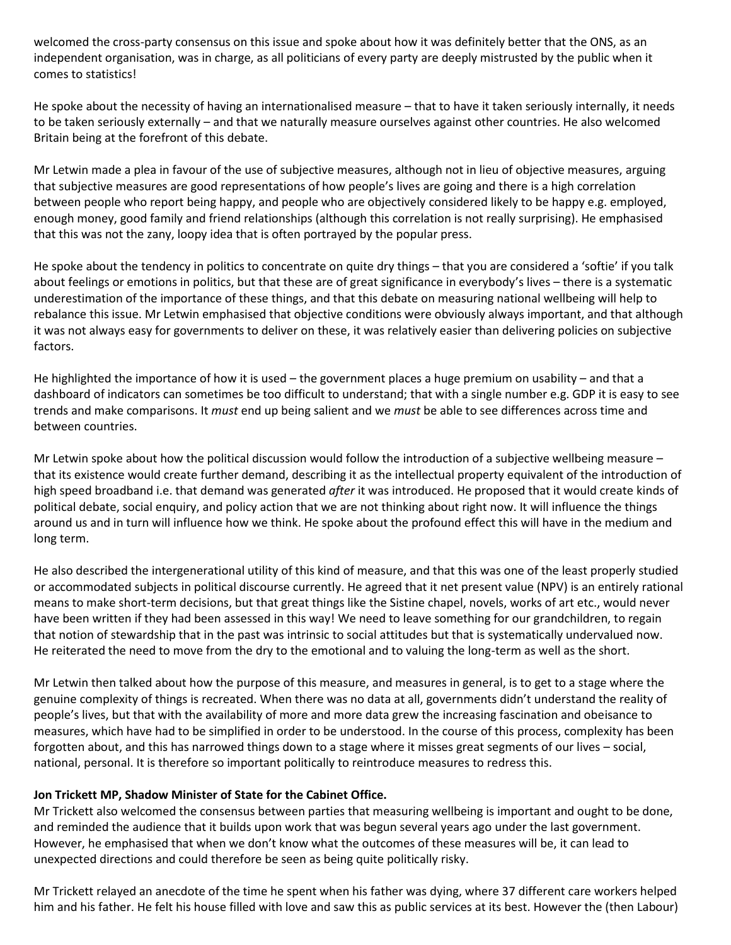welcomed the cross-party consensus on this issue and spoke about how it was definitely better that the ONS, as an independent organisation, was in charge, as all politicians of every party are deeply mistrusted by the public when it comes to statistics!

He spoke about the necessity of having an internationalised measure – that to have it taken seriously internally, it needs to be taken seriously externally – and that we naturally measure ourselves against other countries. He also welcomed Britain being at the forefront of this debate.

Mr Letwin made a plea in favour of the use of subjective measures, although not in lieu of objective measures, arguing that subjective measures are good representations of how people's lives are going and there is a high correlation between people who report being happy, and people who are objectively considered likely to be happy e.g. employed, enough money, good family and friend relationships (although this correlation is not really surprising). He emphasised that this was not the zany, loopy idea that is often portrayed by the popular press.

He spoke about the tendency in politics to concentrate on quite dry things – that you are considered a 'softie' if you talk about feelings or emotions in politics, but that these are of great significance in everybody's lives – there is a systematic underestimation of the importance of these things, and that this debate on measuring national wellbeing will help to rebalance this issue. Mr Letwin emphasised that objective conditions were obviously always important, and that although it was not always easy for governments to deliver on these, it was relatively easier than delivering policies on subjective factors.

He highlighted the importance of how it is used – the government places a huge premium on usability – and that a dashboard of indicators can sometimes be too difficult to understand; that with a single number e.g. GDP it is easy to see trends and make comparisons. It *must* end up being salient and we *must* be able to see differences across time and between countries.

Mr Letwin spoke about how the political discussion would follow the introduction of a subjective wellbeing measure – that its existence would create further demand, describing it as the intellectual property equivalent of the introduction of high speed broadband i.e. that demand was generated *after* it was introduced. He proposed that it would create kinds of political debate, social enquiry, and policy action that we are not thinking about right now. It will influence the things around us and in turn will influence how we think. He spoke about the profound effect this will have in the medium and long term.

He also described the intergenerational utility of this kind of measure, and that this was one of the least properly studied or accommodated subjects in political discourse currently. He agreed that it net present value (NPV) is an entirely rational means to make short-term decisions, but that great things like the Sistine chapel, novels, works of art etc., would never have been written if they had been assessed in this way! We need to leave something for our grandchildren, to regain that notion of stewardship that in the past was intrinsic to social attitudes but that is systematically undervalued now. He reiterated the need to move from the dry to the emotional and to valuing the long-term as well as the short.

Mr Letwin then talked about how the purpose of this measure, and measures in general, is to get to a stage where the genuine complexity of things is recreated. When there was no data at all, governments didn't understand the reality of people's lives, but that with the availability of more and more data grew the increasing fascination and obeisance to measures, which have had to be simplified in order to be understood. In the course of this process, complexity has been forgotten about, and this has narrowed things down to a stage where it misses great segments of our lives – social, national, personal. It is therefore so important politically to reintroduce measures to redress this.

## **Jon Trickett MP, Shadow Minister of State for the Cabinet Office.**

Mr Trickett also welcomed the consensus between parties that measuring wellbeing is important and ought to be done, and reminded the audience that it builds upon work that was begun several years ago under the last government. However, he emphasised that when we don't know what the outcomes of these measures will be, it can lead to unexpected directions and could therefore be seen as being quite politically risky.

Mr Trickett relayed an anecdote of the time he spent when his father was dying, where 37 different care workers helped him and his father. He felt his house filled with love and saw this as public services at its best. However the (then Labour)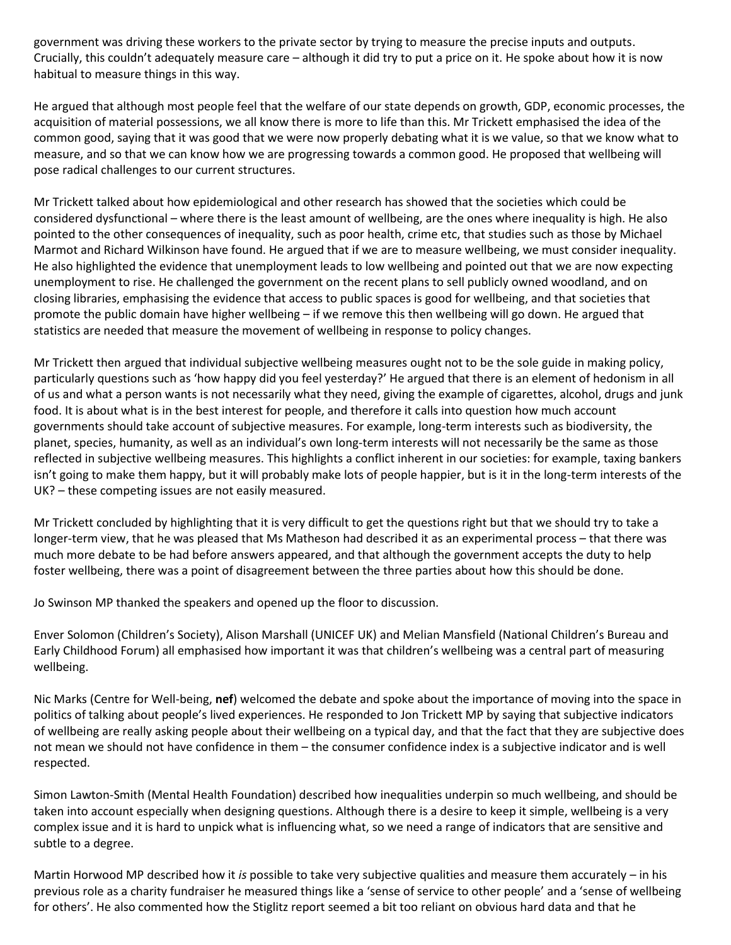government was driving these workers to the private sector by trying to measure the precise inputs and outputs. Crucially, this couldn't adequately measure care – although it did try to put a price on it. He spoke about how it is now habitual to measure things in this way.

He argued that although most people feel that the welfare of our state depends on growth, GDP, economic processes, the acquisition of material possessions, we all know there is more to life than this. Mr Trickett emphasised the idea of the common good, saying that it was good that we were now properly debating what it is we value, so that we know what to measure, and so that we can know how we are progressing towards a common good. He proposed that wellbeing will pose radical challenges to our current structures.

Mr Trickett talked about how epidemiological and other research has showed that the societies which could be considered dysfunctional – where there is the least amount of wellbeing, are the ones where inequality is high. He also pointed to the other consequences of inequality, such as poor health, crime etc, that studies such as those by Michael Marmot and Richard Wilkinson have found. He argued that if we are to measure wellbeing, we must consider inequality. He also highlighted the evidence that unemployment leads to low wellbeing and pointed out that we are now expecting unemployment to rise. He challenged the government on the recent plans to sell publicly owned woodland, and on closing libraries, emphasising the evidence that access to public spaces is good for wellbeing, and that societies that promote the public domain have higher wellbeing – if we remove this then wellbeing will go down. He argued that statistics are needed that measure the movement of wellbeing in response to policy changes.

Mr Trickett then argued that individual subjective wellbeing measures ought not to be the sole guide in making policy, particularly questions such as 'how happy did you feel yesterday?' He argued that there is an element of hedonism in all of us and what a person wants is not necessarily what they need, giving the example of cigarettes, alcohol, drugs and junk food. It is about what is in the best interest for people, and therefore it calls into question how much account governments should take account of subjective measures. For example, long-term interests such as biodiversity, the planet, species, humanity, as well as an individual's own long-term interests will not necessarily be the same as those reflected in subjective wellbeing measures. This highlights a conflict inherent in our societies: for example, taxing bankers isn't going to make them happy, but it will probably make lots of people happier, but is it in the long-term interests of the UK? – these competing issues are not easily measured.

Mr Trickett concluded by highlighting that it is very difficult to get the questions right but that we should try to take a longer-term view, that he was pleased that Ms Matheson had described it as an experimental process – that there was much more debate to be had before answers appeared, and that although the government accepts the duty to help foster wellbeing, there was a point of disagreement between the three parties about how this should be done.

Jo Swinson MP thanked the speakers and opened up the floor to discussion.

Enver Solomon (Children's Society), Alison Marshall (UNICEF UK) and Melian Mansfield (National Children's Bureau and Early Childhood Forum) all emphasised how important it was that children's wellbeing was a central part of measuring wellbeing.

Nic Marks (Centre for Well-being, **nef**) welcomed the debate and spoke about the importance of moving into the space in politics of talking about people's lived experiences. He responded to Jon Trickett MP by saying that subjective indicators of wellbeing are really asking people about their wellbeing on a typical day, and that the fact that they are subjective does not mean we should not have confidence in them – the consumer confidence index is a subjective indicator and is well respected.

Simon Lawton-Smith (Mental Health Foundation) described how inequalities underpin so much wellbeing, and should be taken into account especially when designing questions. Although there is a desire to keep it simple, wellbeing is a very complex issue and it is hard to unpick what is influencing what, so we need a range of indicators that are sensitive and subtle to a degree.

Martin Horwood MP described how it *is* possible to take very subjective qualities and measure them accurately – in his previous role as a charity fundraiser he measured things like a 'sense of service to other people' and a 'sense of wellbeing for others'. He also commented how the Stiglitz report seemed a bit too reliant on obvious hard data and that he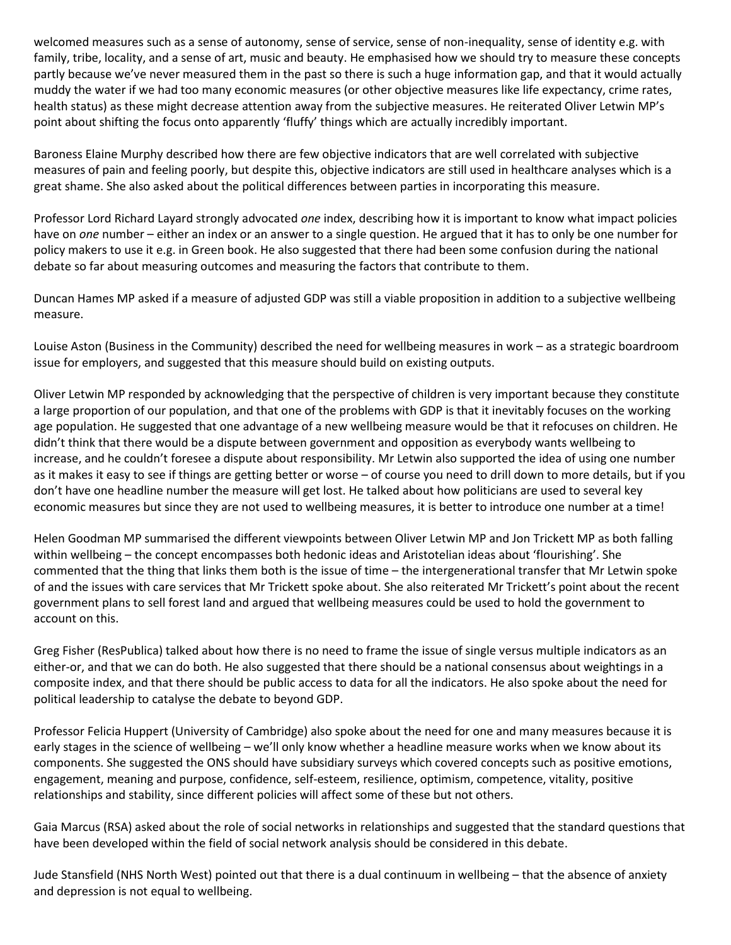welcomed measures such as a sense of autonomy, sense of service, sense of non-inequality, sense of identity e.g. with family, tribe, locality, and a sense of art, music and beauty. He emphasised how we should try to measure these concepts partly because we've never measured them in the past so there is such a huge information gap, and that it would actually muddy the water if we had too many economic measures (or other objective measures like life expectancy, crime rates, health status) as these might decrease attention away from the subjective measures. He reiterated Oliver Letwin MP's point about shifting the focus onto apparently 'fluffy' things which are actually incredibly important.

Baroness Elaine Murphy described how there are few objective indicators that are well correlated with subjective measures of pain and feeling poorly, but despite this, objective indicators are still used in healthcare analyses which is a great shame. She also asked about the political differences between parties in incorporating this measure.

Professor Lord Richard Layard strongly advocated *one* index, describing how it is important to know what impact policies have on *one* number – either an index or an answer to a single question. He argued that it has to only be one number for policy makers to use it e.g. in Green book. He also suggested that there had been some confusion during the national debate so far about measuring outcomes and measuring the factors that contribute to them.

Duncan Hames MP asked if a measure of adjusted GDP was still a viable proposition in addition to a subjective wellbeing measure.

Louise Aston (Business in the Community) described the need for wellbeing measures in work – as a strategic boardroom issue for employers, and suggested that this measure should build on existing outputs.

Oliver Letwin MP responded by acknowledging that the perspective of children is very important because they constitute a large proportion of our population, and that one of the problems with GDP is that it inevitably focuses on the working age population. He suggested that one advantage of a new wellbeing measure would be that it refocuses on children. He didn't think that there would be a dispute between government and opposition as everybody wants wellbeing to increase, and he couldn't foresee a dispute about responsibility. Mr Letwin also supported the idea of using one number as it makes it easy to see if things are getting better or worse – of course you need to drill down to more details, but if you don't have one headline number the measure will get lost. He talked about how politicians are used to several key economic measures but since they are not used to wellbeing measures, it is better to introduce one number at a time!

Helen Goodman MP summarised the different viewpoints between Oliver Letwin MP and Jon Trickett MP as both falling within wellbeing – the concept encompasses both hedonic ideas and Aristotelian ideas about 'flourishing'. She commented that the thing that links them both is the issue of time – the intergenerational transfer that Mr Letwin spoke of and the issues with care services that Mr Trickett spoke about. She also reiterated Mr Trickett's point about the recent government plans to sell forest land and argued that wellbeing measures could be used to hold the government to account on this.

Greg Fisher (ResPublica) talked about how there is no need to frame the issue of single versus multiple indicators as an either-or, and that we can do both. He also suggested that there should be a national consensus about weightings in a composite index, and that there should be public access to data for all the indicators. He also spoke about the need for political leadership to catalyse the debate to beyond GDP.

Professor Felicia Huppert (University of Cambridge) also spoke about the need for one and many measures because it is early stages in the science of wellbeing – we'll only know whether a headline measure works when we know about its components. She suggested the ONS should have subsidiary surveys which covered concepts such as positive emotions, engagement, meaning and purpose, confidence, self-esteem, resilience, optimism, competence, vitality, positive relationships and stability, since different policies will affect some of these but not others.

Gaia Marcus (RSA) asked about the role of social networks in relationships and suggested that the standard questions that have been developed within the field of social network analysis should be considered in this debate.

Jude Stansfield (NHS North West) pointed out that there is a dual continuum in wellbeing – that the absence of anxiety and depression is not equal to wellbeing.